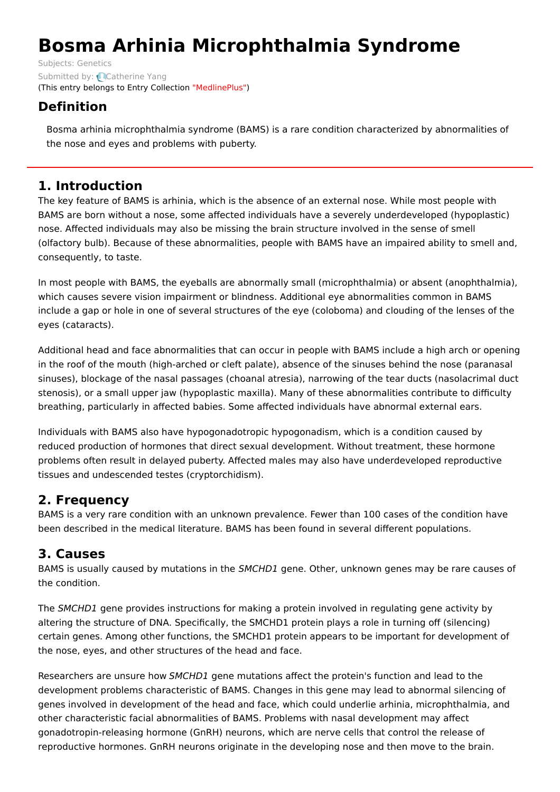# **Bosma Arhinia Microphthalmia Syndrome**

Subjects: [Genetics](https://encyclopedia.pub/item/subject/56) Submitted by: [Catherine](https://sciprofiles.com/profile/807601) Yang (This entry belongs to Entry Collection ["MedlinePlus"](https://encyclopedia.pub/entry/collection/24))

## **Definition**

Bosma arhinia microphthalmia syndrome (BAMS) is a rare condition characterized by abnormalities of the nose and eyes and problems with puberty.

## **1. Introduction**

The key feature of BAMS is arhinia, which is the absence of an external nose. While most people with BAMS are born without a nose, some affected individuals have a severely underdeveloped (hypoplastic) nose. Affected individuals may also be missing the brain structure involved in the sense of smell (olfactory bulb). Because of these abnormalities, people with BAMS have an impaired ability to smell and, consequently, to taste.

In most people with BAMS, the eyeballs are abnormally small (microphthalmia) or absent (anophthalmia), which causes severe vision impairment or blindness. Additional eye abnormalities common in BAMS include a gap or hole in one of several structures of the eye (coloboma) and clouding of the lenses of the eyes (cataracts).

Additional head and face abnormalities that can occur in people with BAMS include a high arch or opening in the roof of the mouth (high-arched or cleft palate), absence of the sinuses behind the nose (paranasal sinuses), blockage of the nasal passages (choanal atresia), narrowing of the tear ducts (nasolacrimal duct stenosis), or a small upper jaw (hypoplastic maxilla). Many of these abnormalities contribute to difficulty breathing, particularly in affected babies. Some affected individuals have abnormal external ears.

Individuals with BAMS also have hypogonadotropic hypogonadism, which is a condition caused by reduced production of hormones that direct sexual development. Without treatment, these hormone problems often result in delayed puberty. Affected males may also have underdeveloped reproductive tissues and undescended testes (cryptorchidism).

## **2. Frequency**

BAMS is a very rare condition with an unknown prevalence. Fewer than 100 cases of the condition have been described in the medical literature. BAMS has been found in several different populations.

## **3. Causes**

BAMS is usually caused by mutations in the SMCHD1 gene. Other, unknown genes may be rare causes of the condition.

The SMCHD1 gene provides instructions for making a protein involved in regulating gene activity by altering the structure of DNA. Specifically, the SMCHD1 protein plays a role in turning off (silencing) certain genes. Among other functions, the SMCHD1 protein appears to be important for development of the nose, eyes, and other structures of the head and face.

Researchers are unsure how SMCHD1 gene mutations affect the protein's function and lead to the development problems characteristic of BAMS. Changes in this gene may lead to abnormal silencing of genes involved in development of the head and face, which could underlie arhinia, microphthalmia, and other characteristic facial abnormalities of BAMS. Problems with nasal development may affect gonadotropin-releasing hormone (GnRH) neurons, which are nerve cells that control the release of reproductive hormones. GnRH neurons originate in the developing nose and then move to the brain.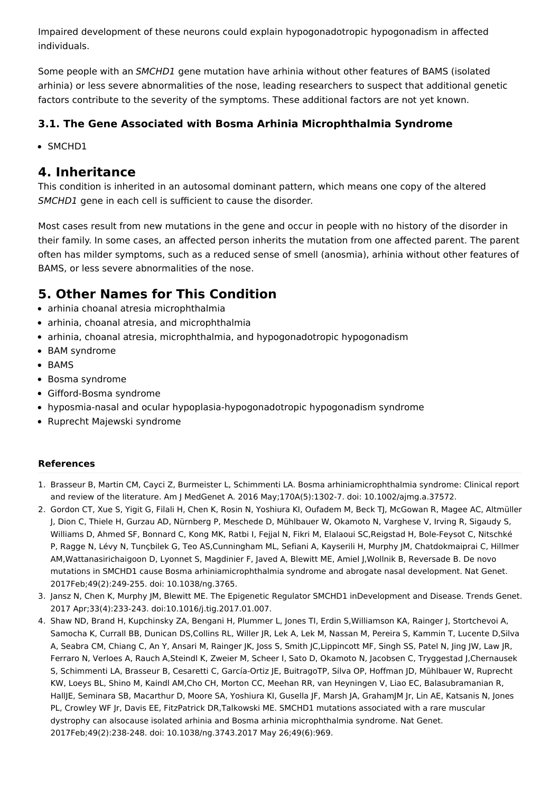Impaired development of these neurons could explain hypogonadotropic hypogonadism in affected individuals.

Some people with an SMCHD1 gene mutation have arhinia without other features of BAMS (isolated arhinia) or less severe abnormalities of the nose, leading researchers to suspect that additional genetic factors contribute to the severity of the symptoms. These additional factors are not yet known.

#### **3.1. The Gene Associated with Bosma Arhinia Microphthalmia Syndrome**

• SMCHD1

### **4. Inheritance**

This condition is inherited in an autosomal dominant pattern, which means one copy of the altered SMCHD1 gene in each cell is sufficient to cause the disorder.

Most cases result from new mutations in the gene and occur in people with no history of the disorder in their family. In some cases, an affected person inherits the mutation from one affected parent. The parent often has milder symptoms, such as a reduced sense of smell (anosmia), arhinia without other features of BAMS, or less severe abnormalities of the nose.

## **5. Other Names for This Condition**

- arhinia choanal atresia microphthalmia
- arhinia, choanal atresia, and microphthalmia
- arhinia, choanal atresia, microphthalmia, and hypogonadotropic hypogonadism
- BAM svndrome
- BAMS
- Bosma syndrome
- Gifford-Bosma syndrome
- hyposmia-nasal and ocular hypoplasia-hypogonadotropic hypogonadism syndrome
- Ruprecht Majewski syndrome

#### **References**

- 1. Brasseur B, Martin CM, Cayci Z, Burmeister L, Schimmenti LA. Bosma arhiniamicrophthalmia syndrome: Clinical report and review of the literature. Am J MedGenet A. 2016 May;170A(5):1302-7. doi: 10.1002/ajmg.a.37572.
- 2. Gordon CT, Xue S, Yigit G, Filali H, Chen K, Rosin N, Yoshiura KI, Oufadem M, Beck TJ, McGowan R, Magee AC, Altmüller J, Dion C, Thiele H, Gurzau AD, Nürnberg P, Meschede D, Mühlbauer W, Okamoto N, Varghese V, Irving R, Sigaudy S, Williams D, Ahmed SF, Bonnard C, Kong MK, Ratbi I, Fejjal N, Fikri M, Elalaoui SC,Reigstad H, Bole-Feysot C, Nitschké P, Ragge N, Lévy N, Tunçbilek G, Teo AS,Cunningham ML, Sefiani A, Kayserili H, Murphy JM, Chatdokmaiprai C, Hillmer AM,Wattanasirichaigoon D, Lyonnet S, Magdinier F, Javed A, Blewitt ME, Amiel J,Wollnik B, Reversade B. De novo mutations in SMCHD1 cause Bosma arhiniamicrophthalmia syndrome and abrogate nasal development. Nat Genet. 2017Feb;49(2):249-255. doi: 10.1038/ng.3765.
- 3. Jansz N, Chen K, Murphy JM, Blewitt ME. The Epigenetic Regulator SMCHD1 inDevelopment and Disease. Trends Genet. 2017 Apr;33(4):233-243. doi:10.1016/j.tig.2017.01.007.
- 4. Shaw ND, Brand H, Kupchinsky ZA, Bengani H, Plummer L, Jones TI, Erdin S,Williamson KA, Rainger J, Stortchevoi A, Samocha K, Currall BB, Dunican DS,Collins RL, Willer JR, Lek A, Lek M, Nassan M, Pereira S, Kammin T, Lucente D,Silva A, Seabra CM, Chiang C, An Y, Ansari M, Rainger JK, Joss S, Smith JC,Lippincott MF, Singh SS, Patel N, Jing JW, Law JR, Ferraro N, Verloes A, Rauch A,Steindl K, Zweier M, Scheer I, Sato D, Okamoto N, Jacobsen C, Tryggestad J,Chernausek S, Schimmenti LA, Brasseur B, Cesaretti C, García-Ortiz JE, BuitragoTP, Silva OP, Hoffman JD, Mühlbauer W, Ruprecht KW, Loeys BL, Shino M, Kaindl AM,Cho CH, Morton CC, Meehan RR, van Heyningen V, Liao EC, Balasubramanian R, HallJE, Seminara SB, Macarthur D, Moore SA, Yoshiura KI, Gusella JF, Marsh JA, GrahamJM Jr, Lin AE, Katsanis N, Jones PL, Crowley WF Jr, Davis EE, FitzPatrick DR,Talkowski ME. SMCHD1 mutations associated with a rare muscular dystrophy can alsocause isolated arhinia and Bosma arhinia microphthalmia syndrome. Nat Genet. 2017Feb;49(2):238-248. doi: 10.1038/ng.3743.2017 May 26;49(6):969.